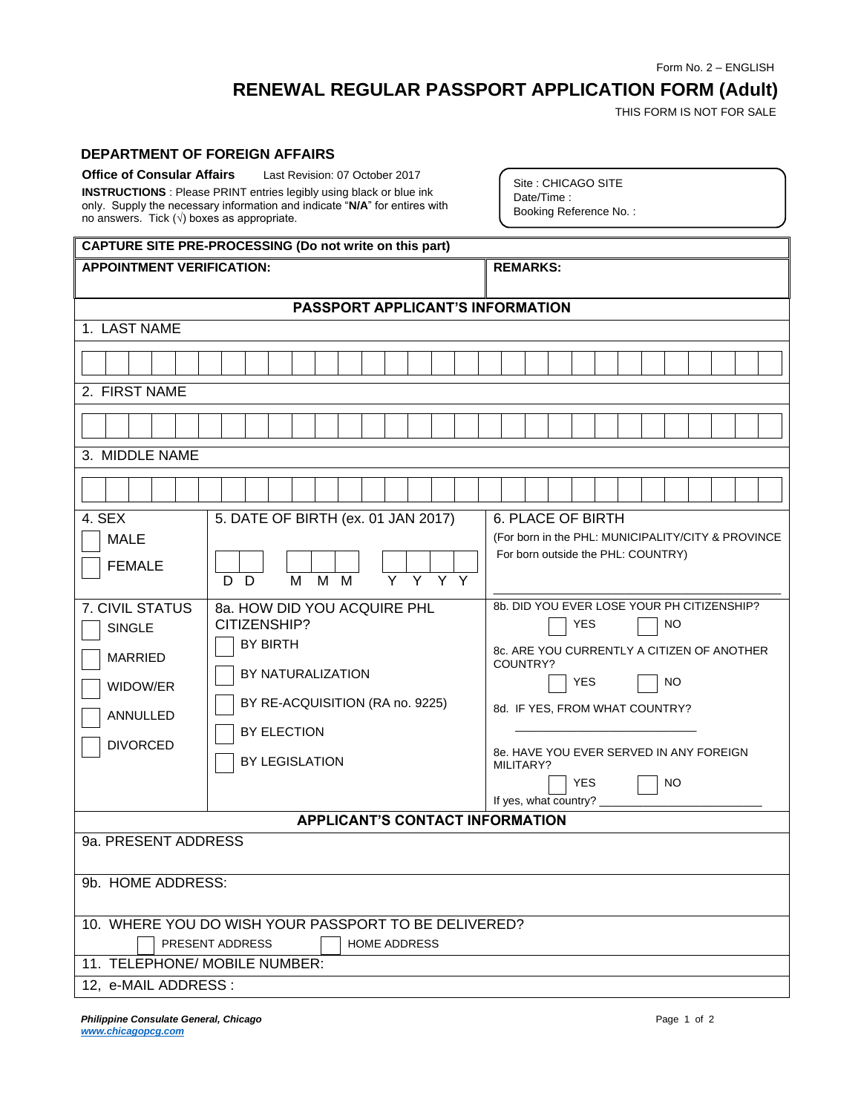Form No. 2 – ENGLISH

## **RENEWAL REGULAR PASSPORT APPLICATION FORM (Adult)**

THIS FORM IS NOT FOR SALE

## **DEPARTMENT OF FOREIGN AFFAIRS**

| <b>Office of Consular Affairs</b><br>no answers. Tick ( $\sqrt{ }$ ) boxes as appropriate.                                              | Last Revision: 07 October 2017<br><b>INSTRUCTIONS</b> : Please PRINT entries legibly using black or blue ink<br>only. Supply the necessary information and indicate "N/A" for entires with                                                                                             | Site: CHICAGO SITE<br>Date/Time:<br>Booking Reference No.:                                                                                                                                                                                                                                                                                                                                      |  |  |  |
|-----------------------------------------------------------------------------------------------------------------------------------------|----------------------------------------------------------------------------------------------------------------------------------------------------------------------------------------------------------------------------------------------------------------------------------------|-------------------------------------------------------------------------------------------------------------------------------------------------------------------------------------------------------------------------------------------------------------------------------------------------------------------------------------------------------------------------------------------------|--|--|--|
|                                                                                                                                         | CAPTURE SITE PRE-PROCESSING (Do not write on this part)                                                                                                                                                                                                                                |                                                                                                                                                                                                                                                                                                                                                                                                 |  |  |  |
| <b>APPOINTMENT VERIFICATION:</b>                                                                                                        |                                                                                                                                                                                                                                                                                        | <b>REMARKS:</b>                                                                                                                                                                                                                                                                                                                                                                                 |  |  |  |
|                                                                                                                                         | <b>PASSPORT APPLICANT'S INFORMATION</b>                                                                                                                                                                                                                                                |                                                                                                                                                                                                                                                                                                                                                                                                 |  |  |  |
| 1. LAST NAME                                                                                                                            |                                                                                                                                                                                                                                                                                        |                                                                                                                                                                                                                                                                                                                                                                                                 |  |  |  |
|                                                                                                                                         |                                                                                                                                                                                                                                                                                        |                                                                                                                                                                                                                                                                                                                                                                                                 |  |  |  |
|                                                                                                                                         |                                                                                                                                                                                                                                                                                        |                                                                                                                                                                                                                                                                                                                                                                                                 |  |  |  |
| 2. FIRST NAME                                                                                                                           |                                                                                                                                                                                                                                                                                        |                                                                                                                                                                                                                                                                                                                                                                                                 |  |  |  |
|                                                                                                                                         |                                                                                                                                                                                                                                                                                        |                                                                                                                                                                                                                                                                                                                                                                                                 |  |  |  |
| 3. MIDDLE NAME                                                                                                                          |                                                                                                                                                                                                                                                                                        |                                                                                                                                                                                                                                                                                                                                                                                                 |  |  |  |
|                                                                                                                                         |                                                                                                                                                                                                                                                                                        |                                                                                                                                                                                                                                                                                                                                                                                                 |  |  |  |
|                                                                                                                                         |                                                                                                                                                                                                                                                                                        |                                                                                                                                                                                                                                                                                                                                                                                                 |  |  |  |
| 4. SEX<br><b>MALE</b><br><b>FEMALE</b><br>7. CIVIL STATUS<br><b>SINGLE</b><br><b>MARRIED</b><br>WIDOW/ER<br>ANNULLED<br><b>DIVORCED</b> | 5. DATE OF BIRTH (ex. 01 JAN 2017)<br>$\overline{Y}$ $\overline{Y}$ $\overline{Y}$ $\overline{Y}$<br>M<br>M<br>M<br>D<br>D.<br>8a. HOW DID YOU ACQUIRE PHL<br>CITIZENSHIP?<br><b>BY BIRTH</b><br>BY NATURALIZATION<br>BY RE-ACQUISITION (RA no. 9225)<br>BY ELECTION<br>BY LEGISLATION | <b>6. PLACE OF BIRTH</b><br>(For born in the PHL: MUNICIPALITY/CITY & PROVINCE<br>For born outside the PHL: COUNTRY)<br>8b. DID YOU EVER LOSE YOUR PH CITIZENSHIP?<br>NO<br>YES<br>8c. ARE YOU CURRENTLY A CITIZEN OF ANOTHER<br>COUNTRY?<br>YES<br>NO.<br>8d. IF YES, FROM WHAT COUNTRY?<br>8e. HAVE YOU EVER SERVED IN ANY FOREIGN<br>MILITARY?<br>YES<br>NO.<br>If yes, what country? ______ |  |  |  |
|                                                                                                                                         | <b>APPLICANT'S CONTACT INFORMATION</b>                                                                                                                                                                                                                                                 |                                                                                                                                                                                                                                                                                                                                                                                                 |  |  |  |
| 9a. PRESENT ADDRESS<br>9b. HOME ADDRESS:                                                                                                | 10. WHERE YOU DO WISH YOUR PASSPORT TO BE DELIVERED?<br>PRESENT ADDRESS<br><b>HOME ADDRESS</b>                                                                                                                                                                                         |                                                                                                                                                                                                                                                                                                                                                                                                 |  |  |  |
| 11. TELEPHONE/ MOBILE NUMBER:                                                                                                           |                                                                                                                                                                                                                                                                                        |                                                                                                                                                                                                                                                                                                                                                                                                 |  |  |  |
| 12, e-MAIL ADDRESS :                                                                                                                    |                                                                                                                                                                                                                                                                                        |                                                                                                                                                                                                                                                                                                                                                                                                 |  |  |  |